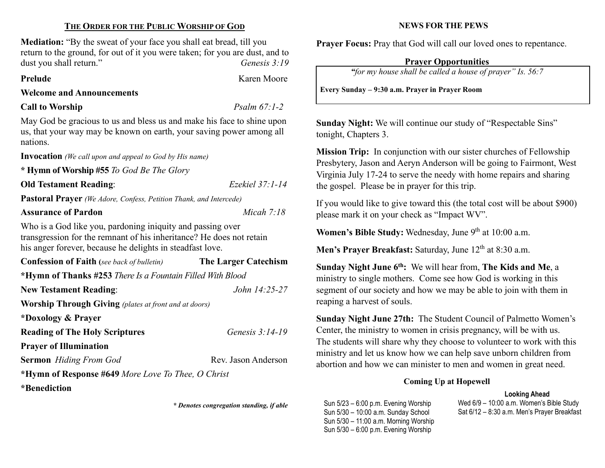# THE ORDER FOR THE PUBLIC WORSHIP OF GOD

Mediation: "By the sweat of your face you shall eat bread, till you return to the ground, for out of it you were taken; for you are dust, and to dust you shall return." Genesis 3:19

Prelude Karen Moore

# Welcome and Announcements

# Call to Worship Psalm 67:1-2

May God be gracious to us and bless us and make his face to shine upon us, that your way may be known on earth, your saving power among all nations.

Invocation (We call upon and appeal to God by His name)

\* Hymn of Worship #55 To God Be The Glory

# Old Testament Reading: Ezekiel 37:1-14

Pastoral Prayer (We Adore, Confess, Petition Thank, and Intercede)

# Assurance of Pardon Micah 7:18

Who is a God like you, pardoning iniquity and passing over transgression for the remnant of his inheritance? He does not retain his anger forever, because he delights in steadfast love.

| <b>Confession of Faith</b> (see back of bulletin)            | <b>The Larger Catechism</b> |  |  |  |
|--------------------------------------------------------------|-----------------------------|--|--|--|
| *Hymn of Thanks #253 There Is a Fountain Filled With Blood   |                             |  |  |  |
| <b>New Testament Reading:</b>                                | John 14:25-27               |  |  |  |
| <b>Worship Through Giving</b> (plates at front and at doors) |                             |  |  |  |
| *Doxology & Prayer                                           |                             |  |  |  |
| <b>Reading of The Holy Scriptures</b>                        | Genesis 3:14-19             |  |  |  |
| <b>Prayer of Illumination</b>                                |                             |  |  |  |
| <b>Sermon</b> Hiding From God                                | Rev. Jason Anderson         |  |  |  |
| *Hymn of Response #649 More Love To Thee, O Christ           |                             |  |  |  |
| *Benediction                                                 |                             |  |  |  |

\* Denotes congregation standing, if able

# NEWS FOR THE PEWS

Prayer Focus: Pray that God will call our loved ones to repentance.

# Prayer Opportunities

"for my house shall be called a house of prayer" Is. 56:7

Every Sunday – 9:30 a.m. Prayer in Prayer Room

Sunday Night: We will continue our study of "Respectable Sins" tonight, Chapters 3.

Mission Trip: In conjunction with our sister churches of Fellowship Presbytery, Jason and Aeryn Anderson will be going to Fairmont, West Virginia July 17-24 to serve the needy with home repairs and sharing the gospel. Please be in prayer for this trip.

If you would like to give toward this (the total cost will be about \$900) please mark it on your check as "Impact WV".

Women's Bible Study: Wednesday, June 9th at 10:00 a.m.

Men's Prayer Breakfast: Saturday, June  $12<sup>th</sup>$  at 8:30 a.m.

Sunday Night June  $6<sup>th</sup>$ : We will hear from, The Kids and Me, a ministry to single mothers. Come see how God is working in this segment of our society and how we may be able to join with them in reaping a harvest of souls.

Sunday Night June 27th: The Student Council of Palmetto Women's Center, the ministry to women in crisis pregnancy, will be with us. The students will share why they choose to volunteer to work with this ministry and let us know how we can help save unborn children from abortion and how we can minister to men and women in great need.

# Coming Up at Hopewell

## Looking Ahead

Sun 5/23 – 6:00 p.m. Evening Worship Sun 5/30 – 10:00 a.m. Sunday School Sun 5/30 – 11:00 a.m. Morning Worship Sun 5/30 – 6:00 p.m. Evening Worship

Wed 6/9 – 10:00 a.m. Women's Bible Study Sat 6/12 – 8:30 a.m. Men's Prayer Breakfast